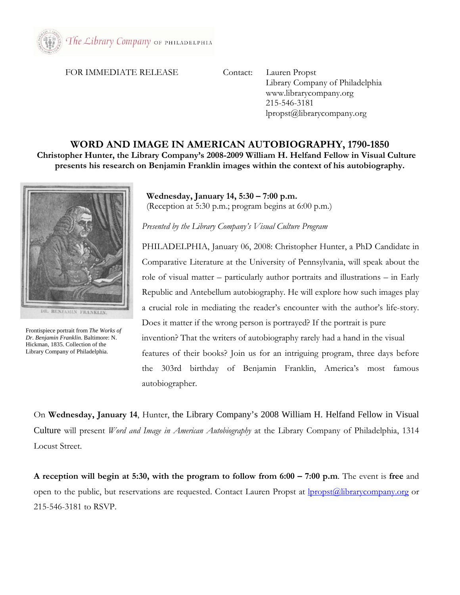

## FOR IMMEDIATE RELEASE Contact: Lauren Propst

 Library Company of Philadelphia www.librarycompany.org 215-546-3181 lpropst@librarycompany.org

## **WORD AND IMAGE IN AMERICAN AUTOBIOGRAPHY, 1790-1850**

**Christopher Hunter, the Library Company's 2008-2009 William H. Helfand Fellow in Visual Culture presents his research on Benjamin Franklin images within the context of his autobiography.** 



DR. BENJAMIN FRANKLIN.

Frontispiece portrait from *The Works of Dr. Benjamin Franklin*. Baltimore: N. Hickman, 1835. Collection of the Library Company of Philadelphia.

 **Wednesday, January 14, 5:30 – 7:00 p.m.**  (Reception at 5:30 p.m.; program begins at 6:00 p.m.)

*Presented by the Library Company's Visual Culture Program* 

PHILADELPHIA, January 06, 2008: Christopher Hunter, a PhD Candidate in Comparative Literature at the University of Pennsylvania, will speak about the role of visual matter – particularly author portraits and illustrations – in Early Republic and Antebellum autobiography. He will explore how such images play a crucial role in mediating the reader's encounter with the author's life-story. Does it matter if the wrong person is portrayed? If the portrait is pure invention? That the writers of autobiography rarely had a hand in the visual features of their books? Join us for an intriguing program, three days before the 303rd birthday of Benjamin Franklin, America's most famous autobiographer.

On **Wednesday, January 14**, Hunter, the Library Company's 2008 William H. Helfand Fellow in Visual Culture will present *Word and Image in American Autobiography* at the Library Company of Philadelphia, 1314 Locust Street.

**A reception will begin at 5:30, with the program to follow from 6:00 – 7:00 p.m**. The event is **free** and open to the public, but reservations are requested. Contact Lauren Propst at **lpropst**@librarycompany.org or 215-546-3181 to RSVP.